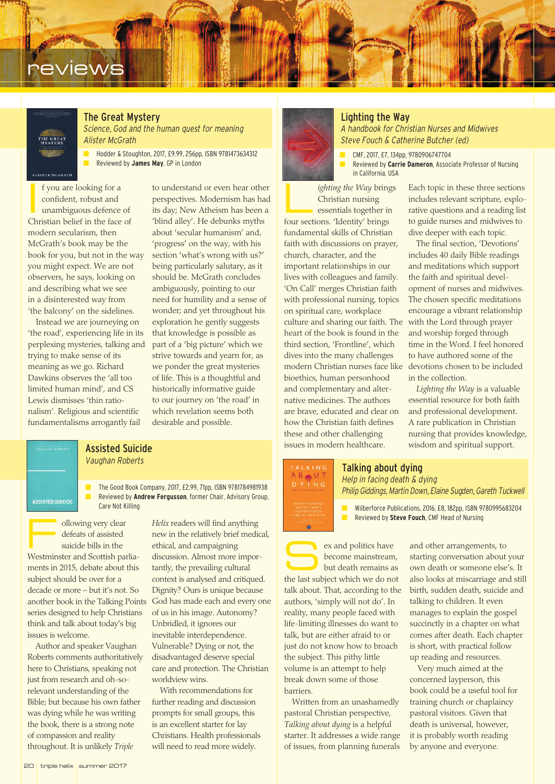## **reviews**

# THE GREAT

The Great Mystery

*Science, God and the human quest for meaning Alister McGrath*

■ Hodder & Stoughton, 2017, £9.99, 256pp, ISBN 9781473634312 ■ Reviewed by **James May**, GP in London

I f you are looking for a confident, robust and unambiguous defence of Christian belief in the face of modern secularism, then McGrath's book may be the book for you, but not in the way you might expect. We are not observers, he says, looking on and describing what we see in a disinterested way from 'the balcony' on the sidelines.

Instead we are journeying on 'the road', experiencing life in its perplexing mysteries, talking and trying to make sense of its meaning as we go. Richard Dawkins observes the 'all too limited human mind', and CS Lewis dismisses 'thin rationalism'. Religious and scientific fundamentalisms arrogantly fail

to understand or even hear other perspectives. Modernism has had its day; New Atheism has been a 'blind alley'. He debunks myths about 'secular humanism' and, 'progress' on the way, with his section 'what's wrong with us?' being particularly salutary, as it should be. McGrath concludes ambiguously, pointing to our need for humility and a sense of wonder; and yet throughout his exploration he gently suggests that knowledge is possible as part of a 'big picture' which we strive towards and yearn for, as we ponder the great mysteries of life. This is a thoughtful and historically informative guide to our journey on 'the road' in which revelation seems both desirable and possible.

### Assisted Suicide *Vaughan Roberts*

■ The Good Book Company, 2017, £2.99, 71pp, ISBN 9781784981938 Reviewed by **Andrew Fergusson**, former Chair, Advisory Group,

ollowing very clear defeats of assisted suicide bills in the Westminster and Scottish parliaments in 2015, debate about this subject should be over for a decade or more – but it's not. So another book in the Talking Points series designed to help Christians think and talk about today's big issues is welcome.

**ASSISTED SUICIDE** 

Author and speaker Vaughan Roberts comments authoritatively here to Christians, speaking not just from research and oh-sorelevant understanding of the Bible; but because his own father was dying while he was writing the book, there is a strong note of compassion and reality throughout. It is unlikely *Triple*

*Helix* readers will find anything new in the relatively brief medical, ethical, and campaigning discussion. Almost more importantly, the prevailing cultural context is analysed and critiqued. Dignity? Ours is unique because God has made each and every one of us in his image. Autonomy? Unbridled, it ignores our inevitable interdependence. Vulnerable? Dying or not, the disadvantaged deserve special care and protection. The Christian worldview wins.

With recommendations for further reading and discussion prompts for small groups, this is an excellent starter for lay Christians. Health professionals will need to read more widely.

*ighting the Way brings* Christian nursing essentials together in four sections. 'Identity' brings fundamental skills of Christian faith with discussions on prayer, church, character, and the important relationships in our lives with colleagues and family. 'On Call' merges Christian faith with professional nursing, topics on spiritual care, workplace culture and sharing our faith. The heart of the book is found in the third section, 'Frontline', which dives into the many challenges modern Christian nurses face like devotions chosen to be included bioethics, human personhood and complementary and alternative medicines. The authors are brave, educated and clear on how the Christian faith defines these and other challenging issues in modern healthcare.

Lighting the Way *A handbook for Christian Nurses and Midwives Steve Fouch & Catherine Butcher (ed)* 

■ CMF, 2017, £7, 134pp, 9780906747704 Reviewed by **Carrie Dameron**, Associate Professor of Nursing in California, USA

> Each topic in these three sections includes relevant scripture, explorative questions and a reading list to guide nurses and midwives to dive deeper with each topic.

The final section, 'Devotions' includes 40 daily Bible readings and meditations which support the faith and spiritual development of nurses and midwives. The chosen specific meditations encourage a vibrant relationship with the Lord through prayer and worship forged through time in the Word. I feel honored to have authored some of the in the collection.

*Lighting the Way* is a valuable essential resource for both faith and professional development. A rare publication in Christian nursing that provides knowledge, wisdom and spiritual support.

## TALKING<br>A B U T<br>D Y I N G

۳

Talking about dying *Help in facing death & dying*

*Philip Giddings, Martin Down, Elaine Sugden, Gareth Tuckwell*

Care Not Killing **Alliance Care Not Killing and Contract Care Care Not Killing Care Not Killing Care Not Killing Care Not Killing Care Not Killing Care Not Killing Care Not Killing Care Not Killing Care N** Reviewed by **Steve Fouch**, CMF Head of Nursing

> ex and politics have become mainstream, but death remains as the last subject which we do not talk about. That, according to the authors, 'simply will not do'. In reality, many people faced with life-limiting illnesses do want to talk, but are either afraid to or just do not know how to broach the subject. This pithy little volume is an attempt to help break down some of those barriers.

Written from an unashamedly pastoral Christian perspective, *Talking about dying* is a helpful starter. It addresses a wide range of issues, from planning funerals

and other arrangements, to starting conversation about your own death or someone else's. It also looks at miscarriage and still birth, sudden death, suicide and talking to children. It even manages to explain the gospel succinctly in a chapter on what comes after death. Each chapter is short, with practical follow up reading and resources.

Very much aimed at the concerned layperson, this book could be a useful tool for training church or chaplaincy pastoral visitors. Given that death is universal, however, it is probably worth reading by anyone and everyone.